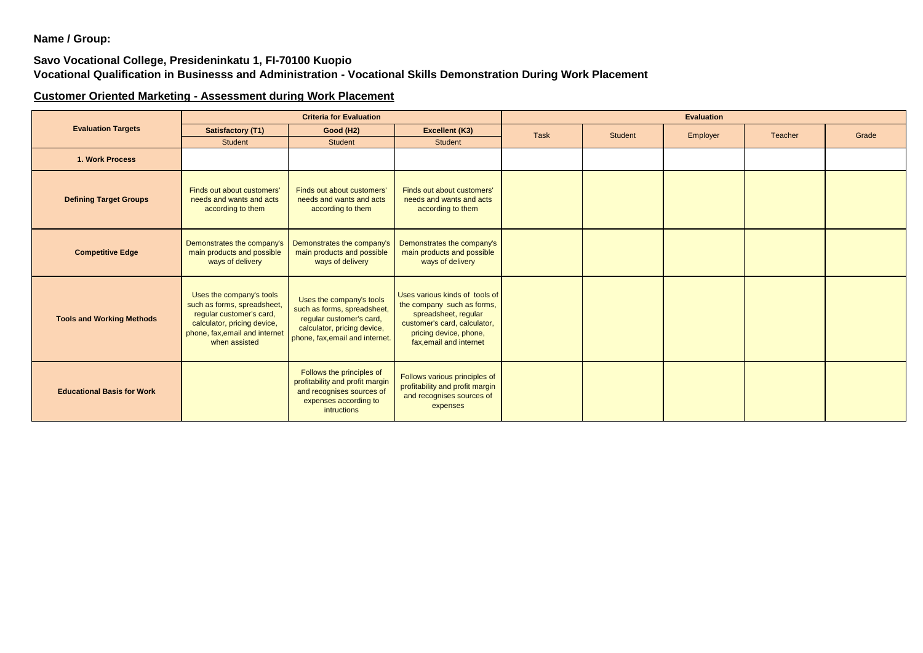**Name / Group:**

## **Savo Vocational College, Presideninkatu 1, FI-70100 Kuopio Vocational Qualification in Businesss and Administration - Vocational Skills Demonstration During Work Placement**

## **Customer Oriented Marketing - Assessment during Work Placement**

| <b>Evaluation Targets</b>         | <b>Criteria for Evaluation</b>                                                                                                                                        |                                                                                                                                                       |                                                                                                                                                                           | <b>Evaluation</b> |         |          |         |       |  |
|-----------------------------------|-----------------------------------------------------------------------------------------------------------------------------------------------------------------------|-------------------------------------------------------------------------------------------------------------------------------------------------------|---------------------------------------------------------------------------------------------------------------------------------------------------------------------------|-------------------|---------|----------|---------|-------|--|
|                                   | Satisfactory (T1)                                                                                                                                                     | Good (H2)                                                                                                                                             | Excellent (K3)                                                                                                                                                            | Task              | Student | Employer | Teacher | Grade |  |
|                                   | <b>Student</b>                                                                                                                                                        | <b>Student</b>                                                                                                                                        | Student                                                                                                                                                                   |                   |         |          |         |       |  |
| 1. Work Process                   |                                                                                                                                                                       |                                                                                                                                                       |                                                                                                                                                                           |                   |         |          |         |       |  |
| <b>Defining Target Groups</b>     | Finds out about customers'<br>needs and wants and acts<br>according to them                                                                                           | Finds out about customers'<br>needs and wants and acts<br>according to them                                                                           | Finds out about customers'<br>needs and wants and acts<br>according to them                                                                                               |                   |         |          |         |       |  |
| <b>Competitive Edge</b>           | Demonstrates the company's<br>main products and possible<br>ways of delivery                                                                                          | Demonstrates the company's<br>main products and possible<br>ways of delivery                                                                          | Demonstrates the company's<br>main products and possible<br>ways of delivery                                                                                              |                   |         |          |         |       |  |
| <b>Tools and Working Methods</b>  | Uses the company's tools<br>such as forms, spreadsheet,<br>regular customer's card,<br>calculator, pricing device,<br>phone, fax, email and internet<br>when assisted | Uses the company's tools<br>such as forms, spreadsheet,<br>regular customer's card,<br>calculator, pricing device,<br>phone, fax, email and internet. | Uses various kinds of tools of<br>the company such as forms,<br>spreadsheet, regular<br>customer's card, calculator,<br>pricing device, phone,<br>fax, email and internet |                   |         |          |         |       |  |
| <b>Educational Basis for Work</b> |                                                                                                                                                                       | Follows the principles of<br>profitability and profit margin<br>and recognises sources of<br>expenses according to<br>intructions                     | Follows various principles of<br>profitability and profit margin<br>and recognises sources of<br>expenses                                                                 |                   |         |          |         |       |  |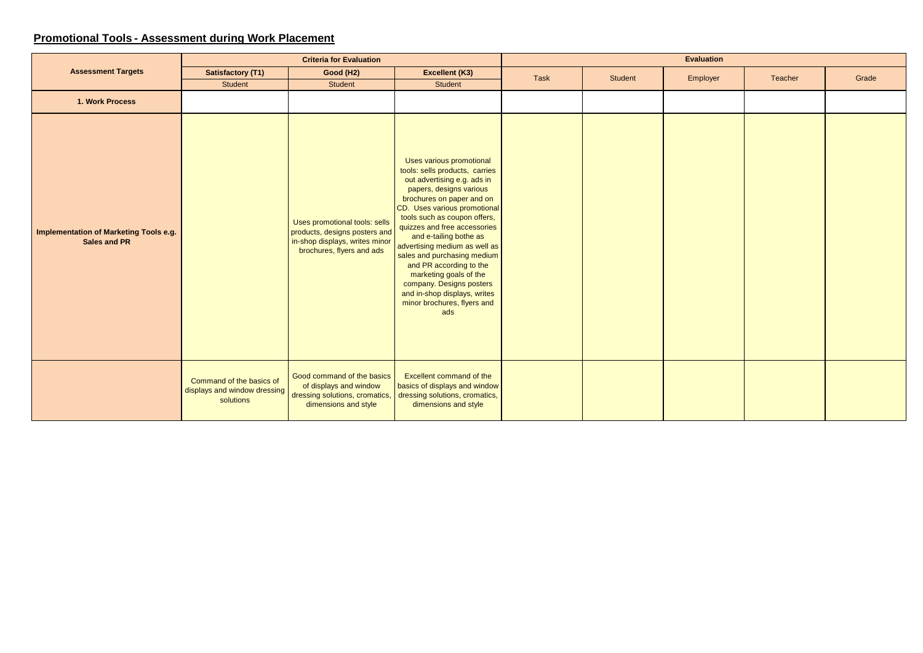## **Promotional Tools - Assessment during Work Placement**

| <b>Assessment Targets</b>                                     | <b>Criteria for Evaluation</b>                                        |                                                                                                                               |                                                                                                                                                                                                                                                                                                                                                                                                                                                                                                    | <b>Evaluation</b> |         |          |         |       |
|---------------------------------------------------------------|-----------------------------------------------------------------------|-------------------------------------------------------------------------------------------------------------------------------|----------------------------------------------------------------------------------------------------------------------------------------------------------------------------------------------------------------------------------------------------------------------------------------------------------------------------------------------------------------------------------------------------------------------------------------------------------------------------------------------------|-------------------|---------|----------|---------|-------|
|                                                               | <b>Satisfactory (T1)</b>                                              | Good (H2)                                                                                                                     | Excellent (K3)                                                                                                                                                                                                                                                                                                                                                                                                                                                                                     | Task              | Student | Employer | Teacher | Grade |
|                                                               | Student                                                               | Student                                                                                                                       | <b>Student</b>                                                                                                                                                                                                                                                                                                                                                                                                                                                                                     |                   |         |          |         |       |
| 1. Work Process                                               |                                                                       |                                                                                                                               |                                                                                                                                                                                                                                                                                                                                                                                                                                                                                                    |                   |         |          |         |       |
| <b>Implementation of Marketing Tools e.g.</b><br>Sales and PR |                                                                       | Uses promotional tools: sells<br>products, designs posters and<br>in-shop displays, writes minor<br>brochures, flyers and ads | Uses various promotional<br>tools: sells products, carries<br>out advertising e.g. ads in<br>papers, designs various<br>brochures on paper and on<br>CD. Uses various promotional<br>tools such as coupon offers,<br>quizzes and free accessories<br>and e-tailing bothe as<br>advertising medium as well as<br>sales and purchasing medium<br>and PR according to the<br>marketing goals of the<br>company. Designs posters<br>and in-shop displays, writes<br>minor brochures, flyers and<br>ads |                   |         |          |         |       |
|                                                               | Command of the basics of<br>displays and window dressing<br>solutions | Good command of the basics<br>of displays and window<br>dressing solutions, cromatics,<br>dimensions and style                | Excellent command of the<br>basics of displays and window<br>dressing solutions, cromatics,<br>dimensions and style                                                                                                                                                                                                                                                                                                                                                                                |                   |         |          |         |       |